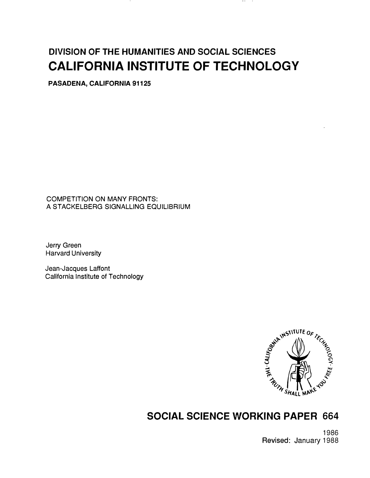# DIVISION OF THE HUMANITIES AND SOCIAL SCIENCES CALIFORNIA INSTITUTE OF TECHNOLOGY

PASADENA, CALIFORNIA 91125

COMPETITION ON MANY FRONTS: A STACKELBERG SIGNALLING EQUILIBRIUM

Jerry Green Harvard University

Jean-Jacques Laffont California Institute of Technology



## SOCIAL SCIENCE WORKING PAPER 664

1986 Revised: January 1988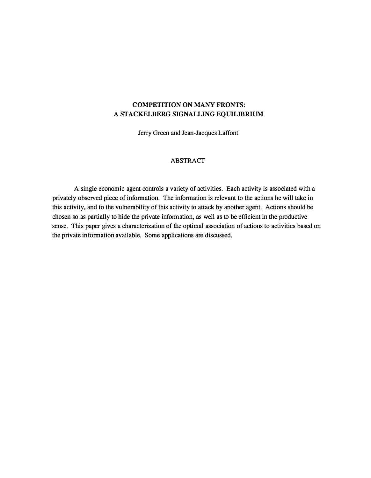## COMPETITION ON MANY FRONTS: A STACKELBERG SIGNALLING EQUILIBRIUM

Jerry Green and Jean-Jacques Laffont

#### ABSTRACT

A single economic agent controls a variety of activities. Each activity is associated with a privately observed piece of information. The information is relevant to the actions he will take in this activity, and to the vulnerability of this activity to attack by another agent. Actions should be chosen so as partially to hide the private information, as well as to be efficient in the productive sense. This paper gives a characterization of the optimal association of actions to activities based on the private information available. Some applications are discussed.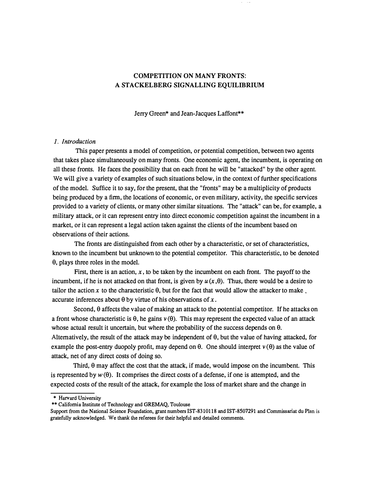## COMPETITION ON MANY FRONTS: A STACKELBERG SIGNALLING EQUILIBRIUM

Jerry Green\* and Jean-Jacques Laffont\*\*

#### 1. Introduction

This paper presents a model of competition, or potential competition, between two agents that takes place simultaneously on many fronts. One economic agent, the incumbent, is operating on all these fronts. He faces the possibility that on each front he will be "attacked" by the other agent. We will give a variety of examples of such situations below, in the context of further specifications of the model. Suffice it to say, for the present, that the "fronts" may be a multiplicity of products being produced by a firm, the locations of economic, or even military, activity, the specific services provided to a variety of clients, or many other similar situations. The "attack" can be, for example, a military attack, or it can represent entry into direct economic competition against the incumbent in a market, or it can represent a legal action taken against the clients of the incumbent based on observations of their actions.

The fronts are distinguished from each other by a characteristic, or set of characteristics, known to the incumbent but unknown to the potential competitor. This characteristic, to be denoted  $\theta$ , plays three roles in the model.

First, there is an action,  $x$ , to be taken by the incumbent on each front. The payoff to the incumbent, if he is not attacked on that front, is given by  $u(x, \theta)$ . Thus, there would be a desire to tailor the action x to the characteristic  $\theta$ , but for the fact that would allow the attacker to make. accurate inferences about  $\theta$  by virtue of his observations of x.

Second,  $\theta$  affects the value of making an attack to the potential competitor. If he attacks on a front whose characteristic is  $\theta$ , he gains  $v(\theta)$ . This may represent the expected value of an attack whose actual result it uncertain, but where the probability of the success depends on  $\theta$ . Alternatively, the result of the attack may be independent of  $\theta$ , but the value of having attacked, for example the post-entry duopoly profit, may depend on  $\theta$ . One should interpret  $v(\theta)$  as the value of attack, net of any direct costs of doing so.

Third,  $\theta$  may affect the cost that the attack, if made, would impose on the incumbent. This is represented by  $w(\theta)$ . It comprises the direct costs of a defense, if one is attempted, and the expected costs of the result of the attack, for example the loss of market share and the change in

<sup>\*</sup> Harvard University

<sup>\*\*</sup>California Institute of Technology and GREMAQ, Toulouse

Support from the National Science Foundation, grant numbers IST-8310118 and IST-8507291 and Commissariat du Plan is gratefully acknowledged. We thank the referees for their helpful and detailed comments.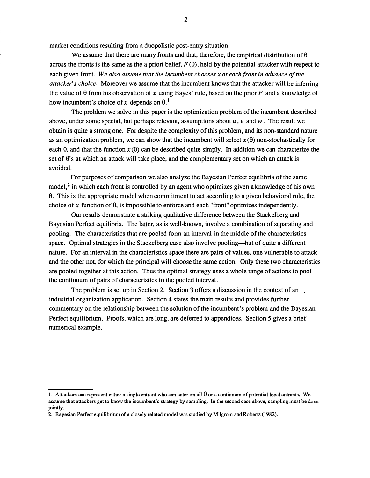market conditions resulting from a duopolistic post-entry situation.

We assume that there are many fronts and that, therefore, the empirical distribution of  $\theta$ across the fronts is the same as the a priori belief,  $F(\theta)$ , held by the potential attacker with respect to each given front. We also assume that the incumbent chooses  $x$  at each front in advance of the attacker's choice. Moreover we assume that the incumbent knows that the attacker will be inferring the value of  $\theta$  from his observation of x using Bayes' rule, based on the prior F and a knowledge of how incumbent's choice of x depends on  $\theta$ .<sup>1</sup>

The problem we solve in this paper is the optimization problem of the incumbent described above, under some special, but perhaps relevant, assumptions about  $u, v$  and  $w$ . The result we obtain is quite a strong one. For despite the complexity of this problem, and its non-standard nature as an optimization problem, we can show that the incumbent will select  $x(\theta)$  non-stochastically for each  $\theta$ , and that the function  $x(\theta)$  can be described quite simply. In addition we can characterize the set of 0's at which an attack will take place, and the complementary set on which an attack is avoided.

For purposes of comparison we also analyze the Bayesian Perfect equilibria of the same model, $^2$  in which each front is controlled by an agent who optimizes given a knowledge of his own 0. This is the appropriate model when commitment to act according to a given behavioral rule, the choice of x function of  $\theta$ , is impossible to enforce and each "front" optimizes independently.

Our results demonstrate a striking qualitative difference between the Stackelberg and Bayesian Perfect equilibria. The latter, as is well-known, involve a combination of separating and pooling. The characteristics that are pooled fonn an interval in the middle of the characteristics space. Optimal strategies in the Stackelberg case also involve pooling—but of quite a different nature. For an interval in the characteristics space there are pairs of values, one vulnerable to attack and the other not, for which the principal will choose the same action. Only these two characteristics are pooled together at this action. Thus the optimal strategy uses a whole range of actions to pool the continuum of pairs of characteristics in the pooled interval.

The problem is set up in Section 2. Section 3 offers a discussion in the context of an industrial organization application. Section 4 states the main results and provides further commentary on the relationship between the solution of the incumbent's problem and the Bayesian Perfect equilibrium. Proofs, which are long, are deferred to appendices. Section 5 gives a brief numerical example.

<sup>1.</sup> Attackers can represent either a single entrant who can enter on all  $\theta$  or a continnum of potential local entrants. We assume that attackers get to know the incumbent's strategy by sampling. In the second case above, sampling must be done jointly.

<sup>2.</sup> Bayesian Perfect equilibrium of a closely related model was studied by Milgrom and Roberts (1982).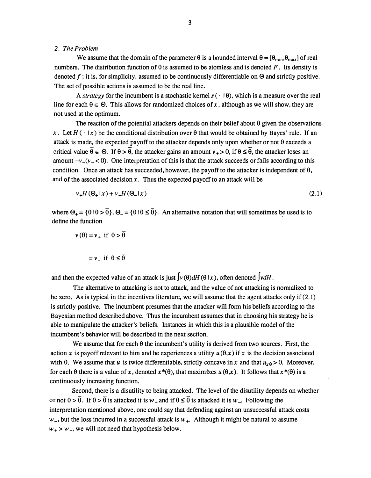#### 2. The Problem

We assume that the domain of the parameter  $\theta$  is a bounded interval  $\theta = [\theta_{min}, \theta_{max}]$  of real numbers. The distribution function of  $\theta$  is assumed to be atomless and is denoted F. Its density is denoted f; it is, for simplicity, assumed to be continuously differentiable on  $\Theta$  and strictly positive. The set of possible actions is assumed to be the real line.

A strategy for the incumbent is a stochastic kernel  $s(\cdot | \theta)$ , which is a measure over the real line for each  $\theta \in \Theta$ . This allows for randomized choices of x, although as we will show, they are not used at the optimum.

The reaction of the potential attackers depends on their belief about  $\theta$  given the observations x. Let  $H(\cdot | x)$  be the conditional distribution over  $\theta$  that would be obtained by Bayes' rule. If an attack is made, the expected payoff to the attacker depends only upon whether or not  $\theta$  exceeds a critical value  $\theta \in \Theta$ . If  $\theta > \theta$ , the attacker gains an amount  $\nu_{+} > 0$ , if  $\theta \leq \theta$ , the attacker loses an amount  $-v_-(v_- < 0)$ . One interpretation of this is that the attack succeeds or fails according to this condition. Once an attack has succeeded, however, the payoff to the attacker is independent of  $\theta$ , and of the associated decision  $x$ . Thus the expected payoff to an attack will be

$$
\nu_{+}H(\Theta_{+}|x) + \nu_{-}H(\Theta_{-}|x) \tag{2.1}
$$

where  $\Theta_+ = \{\theta | \theta > \overline{\theta}\}, \Theta_- = \{\theta | \theta \le \overline{\theta}\}.$  An alternative notation that will sometimes be used is to define the function

$$
v(\theta) = v_+ \text{ if } \theta > \theta
$$

$$
= v_- \text{ if } \theta \le \overline{\theta}
$$

and then the expected value of an attack is just  $\int v(\theta) dH(\theta|x)$ , often denoted  $\int v dH$ .

The alternative to attacking is not to attack, and the value of not attacking is normalized to be zero. As is typical in the incentives literature, we will assume that the agent attacks only if  $(2.1)$ is strictly positive. The incumbent presumes that the attacker will form his beliefs according to the Bayesian method described above. Thus the incumbent assumes that in choosing his strategy he is able to manipulate the attacker's beliefs. Instances in which this is a plausible model of the incumbent's behavior will be described in the next section.

We assume that for each  $\theta$  the incumbent's utility is derived from two sources. First, the action x is payoff relevant to him and he experiences a utility  $u(\theta, x)$  if x is the decision associated with  $\theta$ . We assume that u is twice differentiable, strictly concave in x and that  $u_{x\theta} > 0$ . Moreover, for each  $\theta$  there is a value of x, denoted  $x^*(\theta)$ , that maximizes  $u(\theta,x)$ . It follows that  $x^*(\theta)$  is a continuously increasing function.

Second, there is a disutility to being attacked. The level of the disutility depends on whether or not  $\theta > \overline{\theta}$ . If  $\theta > \overline{\theta}$  is attacked it is  $w_+$  and if  $\theta \leq \overline{\theta}$  is attacked it is  $w_-$ . Following the interpretation mentioned above, one could say that defending against an unsuccessful attack costs  $w_$ , but the loss incurred in a successful attack is  $w_+$ . Although it might be natural to assume  $w_+$  >  $w_$ , we will not need that hypothesis below.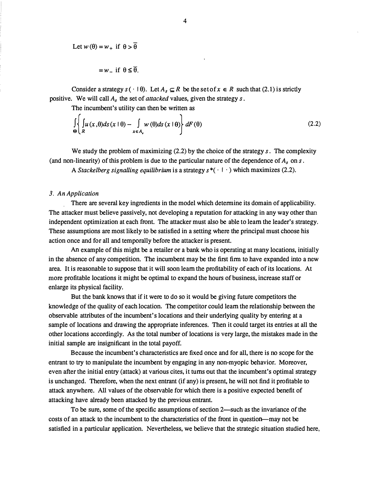Let 
$$
w(\theta) = w_+
$$
 if  $\theta > \overline{\theta}$ 

$$
= w_{-}
$$
 if  $\theta \leq \overline{\theta}$ .

Consider a strategy  $s \cdot \theta$ . Let  $A_s \subseteq R$  be the set of  $x \in R$  such that (2.1) is strictly positive. We will call  $A_s$  the set of *attacked* values, given the strategy  $s$ .

The incumbent's utility can then be written as

$$
\int_{\Theta} \left\{ \int_{R} u(x, \theta) ds(x \mid \theta) - \int_{x \in A_{\epsilon}} w(\theta) ds(x \mid \theta) \right\} dF(\theta)
$$
\n(2.2)

We study the problem of maximizing  $(2.2)$  by the choice of the strategy s. The complexity (and non-linearity) of this problem is due to the particular nature of the dependence of  $A_s$  on s.

A Stackelberg signalling equilibrium is a strategy  $s^*(- \cap \cdot)$  which maximizes (2.2).

#### 3. An Application

. There are several key ingredients in the model which determine its domain of applicability. The attacker must believe passively, not developing a reputation for attacking in any way other than independent optimization at each front. The attacker must also be able to learn the leader's strategy. These assumptions are most likely to be satisfied in a setting where the principal must choose his action once and for all and temporally before the attacker is present.

An example of this might be a retailer or a bank who is operating at many locations, initially in the absence of any competition. The incumbent may be the first firm to have expanded into a new area. It is reasonable to suppose that it will soon learn the profitability of each of its locations. At more profitable locations it might be optimal to expand the hours of business, increase staff or enlarge its physical facility.

But the bank knows that if it were to do so it would be giving future competitors the knowledge of the quality of each location. The competitor could learn the relationship between the observable attributes of the incumbent' s locations and their underlying quality by entering at a sample of locations and drawing the appropriate inferences. Then it could target its entries at all the other locations accordingly. As the total number of locations is very large, the mistakes made in the initial sample are insignificant in the total payoff.

Because the incumbent's characteristics are fixed once and for all, there is no scope for the entrant to try to manipulate the incumbent by engaging in any non-myopic behavior. Moreover, even after the initial entry (attack) at various cites, it turns out that the incumbent's optimal strategy is unchanged. Therefore, when the next entrant (if any) is present, he will not find it profitable to attack anywhere. All values of the observable for which there is a positive expected benefit of attacking have already been attacked by the previous entrant.

To be sure, some of the specific assumptions of section 2—such as the invariance of the costs of an attack to the incumbent to the characteristics of the front in question--may not be satisfied in a particular application. Nevertheless, we believe that the strategic situation studied here,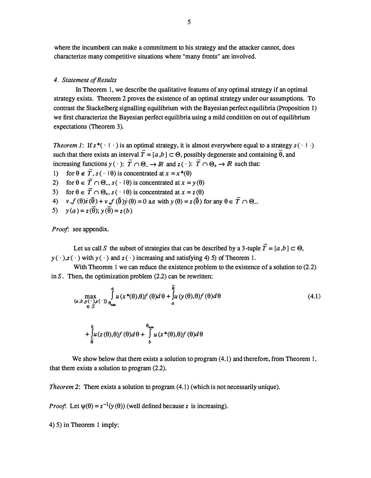where the incumbent can make a commitment to his strategy and the attacker cannot, does characterize many competitive situations where "many fronts" are involved.

#### 4. Statement of Results

In Theorem 1, we describe the qualitative features of any optimal strategy if an optimal strategy exists. Theorem 2 proves the existence of an optimal strategy under our assumptions. To contrast the Stackelberg signalling equilibrium with the Bayesian perfect equilibria (Proposition 1) we first characterize the Bayesian perfect equilibria using a mild condition on out of equilibrium expectations (Theorem 3).

Theorem 1: If  $s^*(- \cap \cdot)$  is an optimal strategy, it is almost everywhere equal to a strategy  $s(\cdot | \cdot)$  $\frac{1}{2}$  -  $\frac{1}{2}$  -  $\frac{1}{2}$  -  $\frac{1}{2}$  -  $\frac{1}{2}$  -  $\frac{1}{2}$  -  $\frac{1}{2}$  -  $\frac{1}{2}$ such that there exists an interval  $T = [a, b] \subset \Theta$ , possibly degenerate and containing  $\theta$ , and increasing functions  $y(\cdot)$ :  $\overline{T} \cap \Theta_- \to \mathbb{R}$  and  $z(\cdot)$ :  $\overline{T} \cap \Theta_+ \to \mathbb{R}$  such that:

- 1) for  $\theta \notin \overline{T}$ ,  $s(\cdot | \theta)$  is concentrated at  $x = x^*(\theta)$
- 2) for  $\theta \in \overline{T} \cap \Theta_{-}$ ,  $s(\cdot | \theta)$  is concentrated at  $x = y(\theta)$
- 3) for  $\theta \in \overline{T} \cap \Theta_+, s(\cdot | \theta)$  is concentrated at  $x = z(\theta)$
- 4)  $v f(\theta) \dot{z} (\theta) + v f(\theta) \dot{y} (\theta) = 0$  a.e with  $y(\theta) = z(\theta)$  for any  $\theta \in \overline{T} \cap \Theta$ .  $\frac{1}{2}$  +  $\frac{1}{2}$
- 5)  $y(a) = z(\theta); y(\theta) = z(b)$

Proof: see appendix.

Let us call S the subset of strategies that can be described by a 3-tuple  $\overline{T} = [a, b] \subset \Theta$ ,  $y(\cdot)$ , $z(\cdot)$  with  $y(\cdot)$  and  $z(\cdot)$  increasing and satisfying 4) 5) of Theorem 1.

With Theorem 1 we can reduce the existence problem to the existence of a solution to  $(2.2)$ in  $S$ . Then, the optimization problem  $(2.2)$  can be rewritten:

$$
\max_{\substack{(a,b,y)\in\mathcal{Y}(\cdot),z(\cdot)\\
\in S}} \int_{\theta_{\min}}^{a} u(x^*(\theta),\theta)f(\theta)d\theta + \int_{a}^{\theta} u(y(\theta),\theta)f(\theta)d\theta
$$
\n(4.1)

$$
+\int\limits_{\overline{\theta}}^{b} u(z(\theta),\theta)f(\theta)d\theta+\int\limits_{b}^{\theta_{\text{max}}} u(x^{*}(\theta),\theta)f(\theta)d\theta
$$

We show below that there exists a solution to program  $(4.1)$  and therefore, from Theorem 1, that there exists a solution to program (2.2).

Theorem 2: There exists a solution to program  $(4.1)$  (which is not necessarily unique).

*Proof*: Let  $\psi(\theta) = z^{-1}(\gamma(\theta))$  (well defined because z is increasing).

4) 5) in Theorem 1 imply: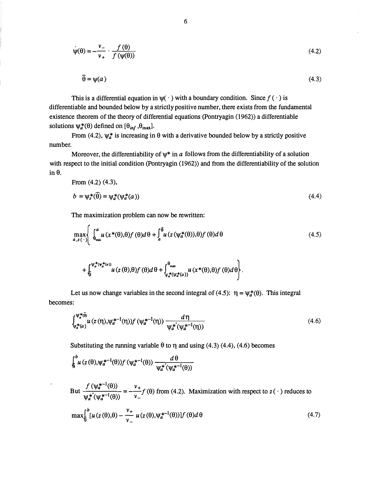$$
\psi(\theta) = -\frac{\nu_{-}}{\nu_{+}} \cdot \frac{f(\theta)}{f(\psi(\theta))}
$$
(4.2)

$$
\overline{\theta} = \psi(a) \tag{4.3}
$$

This is a differential equation in  $\psi(\cdot)$  with a boundary condition. Since  $f(\cdot)$  is differentiable and bounded below by a strictly positive number, there exists from the fundamental existence theorem of the theory of differential equations (Pontryagin (1962)) a differentiable solutions  $\psi_a^*(\theta)$  defined on  $[\theta_{inf}, \theta_{max}]$ . 9. y with a boundary condition<br>
1y positive number, there existed<br>
al equations (Pontryagin (1964)<br>
ith a derivative bounded belot<br>
\* in *a* follows from the differ<br>
gin (1962)) and from the differ<br>
(z ( $\psi_a^*(\theta)$ ), $\theta$ )

From (4.2),  $\psi_a^*$  is increasing in  $\theta$  with a derivative bounded below by a strictly positive number.

Moreover, the differentiability of  $\psi^*$  in a follows from the differentiability of a solution with respect to the initial condition (Pontryagin (1962)) and from the differentiability of the solution  $in \theta$ .

From (4.2) (4.3),  
\n
$$
b = \psi_s^*(\vec{\theta}) = \psi_a^*(\psi_a^*(a))
$$
\n(4.4)

The maximization problem can now be rewritten:

$$
\max_{a,z(\cdot)} \left\{ \int_{\theta_{\min}}^{a} u(x^*(\theta),\theta) f(\theta) d\theta + \int_{a}^{\bar{\theta}} u(z(\psi_a^*(\theta)),\theta) f(\theta) d\theta \right. \tag{4.5}
$$

$$
+\int_{\theta}^{\psi_{a}^{*}(\psi_{a}^{*}(a))}u(z(\theta),\theta)f(\theta)d\theta+\int_{\psi_{a}^{*}(\psi_{a}^{*}(a))}^{\theta_{max}}u(x^{*}(\theta),\theta)f(\theta)d\theta\Bigg\}.
$$

Let us now change variables in the second integral of (4.5):  $\eta = \psi_a^*(\theta)$ . This integral becomes:

$$
\int_{\psi_a^*(a)}^{\psi_a^*(\bar{a})} u(z(\eta), \psi_a^{*-1}(\eta)) f(\psi_a^{*-1}(\eta)) \frac{d\eta}{\psi_a^{*'}(\psi_a^{*-1}(\eta))}
$$
(4.6)

Substituting the running variable  $\theta$  to  $\eta$  and using (4.3) (4.4), (4.6) becomes

$$
\oint\limits_{\theta}^{b} u\, (z(\theta),\!\psi_a^{*+1}(\theta))f\,(\psi_a^{*+1}(\theta))\xrightarrow[\psi_a^{*'}(\psi_a^{*+1}(\theta))} \frac{d\theta}{}
$$

But  $\frac{f(\psi_a^{*-1}(\theta))}{\psi_a^{*'}(\psi_a^{*-1}(\theta))} = -\frac{v_+}{v_-}f(\theta)$  from (4.2). Maximization with respect to  $z(\cdot)$  reduces to

$$
\max\Bigl\{\int_{0}^{b} \left[\mu(z(\theta),\theta) - \frac{\nu_{+}}{\nu_{-}} \mu(z(\theta),\psi_{a}^{*-1}(\theta))\right] f(\theta) d\theta\tag{4.7}
$$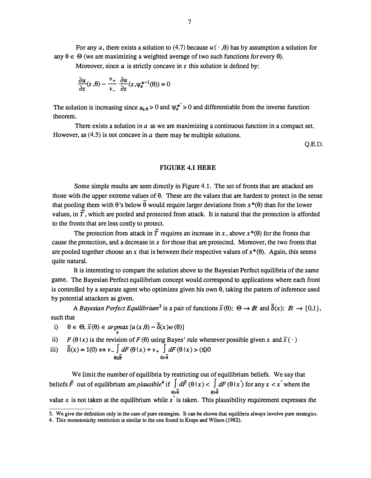For any a, there exists a solution to (4.7) because  $u(\cdot, \theta)$  has by assumption a solution for any  $\theta \in \Theta$  (we are maximizing a weighted average of two such functions for every  $\theta$ ).

Moreover, since  $\mu$  is strictly concave in z this solution is defined by:

$$
\frac{\partial u}{\partial z}(z,\theta) - \frac{v_+}{v_-} \frac{\partial u}{\partial z}(z,\psi_a^{*-1}(\theta)) = 0
$$

The solution is increasing since  $u_{x\theta} > 0$  and  $\psi_a^{*} > 0$  and differentiable from the inverse function theorem.

There exists a solution in  $a$  as we are maximizing a continuous function in a compact set. However, as  $(4.5)$  is not concave in a there may be multiple solutions.

Q.E.D.

#### FIGURE 4.1 HERE

Some simple results are seen directly in Figure 4.1. The set of fronts that are attacked are those with the upper extreme values of  $\theta$ . These are the values that are hardest to protect in the sense that pooling them with  $\theta$ 's below  $\overline{\theta}$  would require larger deviations from  $x^*(\theta)$  than for the lower values, in  $\overline{T}$ , which are pooled and protected from attack. It is natural that the protection is afforded to the fronts that are less costly to protect.

The protection from attack in T requires an increase in x, above  $x^*(\theta)$  for the fronts that cause the protection, and a decrease in  $x$  for those that are protected. Moreover, the two fronts that are pooled together choose an x that is between their respective values of  $x^*(\theta)$ . Again, this seems quite natural.

It is interesting to compare the solution above to the Bayesian Perfect equilibria of the same game. The Bayesian Perfect equilibrium concept would correspond to applications where each front is controlled by a separate agent who optimizes given his own 0, taking the pattern of inference used by potential attackers as given.

A Bayesian Perfect Equilibrium<sup>3</sup> is a pair of functions  $\bar{x}(\theta)$ :  $\Theta \to \mathbb{R}$  and  $\bar{\delta}(x)$ :  $\mathbb{R} \to \{0,1\}$ , such that

i)  $\theta \in \Theta$ ,  $\overline{x}(\theta) \in \underset{x}{argmax} [u(x,\theta) - \delta(x)w(\theta)]$ 

ii)  $F(\theta | x)$  is the revision of  $F(\theta)$  using Bayes' rule whenever possible given x and  $\overline{x}(\cdot)$ 

iii) 
$$
\overline{\delta}(x) = 1(0) \Leftrightarrow v_{-} \int_{\theta \le \overline{\theta}} dF(\theta | x) + v_{+} \int_{\theta > \overline{\theta}} dF(\theta | x) > (\le)0
$$

We limit the number of equilibria by restricting out of equilibrium beliefs. We say that beliefs  $\vec{F}$  out of equilibrium are *plausible*<sup>4</sup> if  $\int d\vec{F}$  ( $\theta | x$ )  $\leq \int dF$  ( $\theta | x$ ) for any  $x < x'$  where the  $\overline{\theta}$   $\overline{\theta}$   $\overline{\theta}$ value x is not taken at the equilibrium while x' is taken. This plausibility requirement expresses the

<sup>3.</sup> We give the definition only in the case of pure strategies. It can be shown that equilibria always involve pure strategies.

<sup>4.</sup> This monotonicity restriction is similar to the one found in Kreps and Wilson (1982).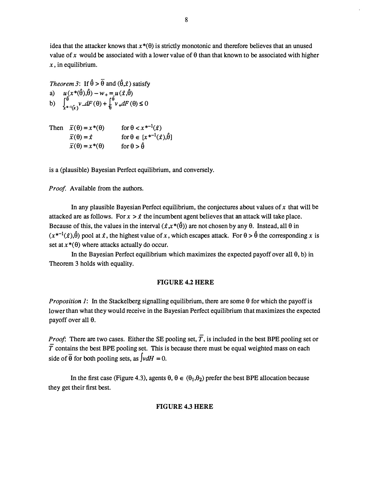idea that the attacker knows that  $x^*(\theta)$  is strictly monotonic and therefore believes that an unused value of x would be associated with a lower value of  $\theta$  than that known to be associated with higher  $x$ , in equilibrium.

Theorem 3: If  $\hat{\theta} > \hat{\theta}$  and  $(\hat{\theta}, \hat{x})$  satisfy a)  $u(x^*(\hat{\theta}), \hat{\theta}) - w_+ = u(\hat{x}, \hat{\theta})$ b)  $\int_{\frac{1}{2} + 1/\sqrt{2}}^{\frac{\pi}{2}} v \, dF(\theta) + \int_{\frac{\pi}{2}}^{\frac{\pi}{2}} v \, dF(\theta) \leq 0$ 

Then  $\bar{x}(\theta) = x^*(\theta)$  $\bar{x}(\theta) = \hat{x}$  $x(\theta) = x^*(\theta)$ for  $\theta < x^{*-1}(\hat{x})$ for  $\theta \in [x^{*-1}(\hat{x}), \hat{\theta}]$ for  $\theta > \hat{\theta}$ 

is a ( plausible) Bayesian Perfect equilibrium, and conversely.

Proof. Available from the authors.

In any plausible Bayesian Perfect equilibrium, the conjectures about values of  $x$  that will be attacked are as follows. For  $x > \hat{x}$  the incumbent agent believes that an attack will take place. Because of this, the values in the interval  $(\lambda x^*(\hat{\theta}))$  are not chosen by any  $\theta$ . Instead, all  $\theta$  in  $(x^{*-1}(\hat{x}),\hat{\theta})$  pool at  $\hat{x}$ , the highest value of x, which escapes attack. For  $\theta > \hat{\theta}$  the corresponding x is set at  $x^*(\theta)$  where attacks actually do occur.

In the Bayesian Perfect equilibrium which maximizes the expected payoff over all  $\theta$ , b) in Theorem 3 holds with equality.

#### FIGURE 4.2 HERE

*Proposition 1*: In the Stackelberg signalling equilibrium, there are some  $\theta$  for which the payoff is lower than what they would receive in the Bayesian Perfect equilibrium that maximizes the expected payoff over all  $\theta$ .

*Proof*: There are two cases. Either the SE pooling set,  $\overline{T}$ , is included in the best BPE pooling set or  $\overline{T}$  contains the best BPE pooling set. This is because there must be equal weighted mass on each side of  $\overline{\theta}$  for both pooling sets, as  $v dH = 0$ .

In the first case (Figure 4.3), agents  $\theta$ ,  $\theta \in (\theta_1, \theta_2)$  prefer the best BPE allocation because they get their first best.

#### FIGURE 4.3 HERE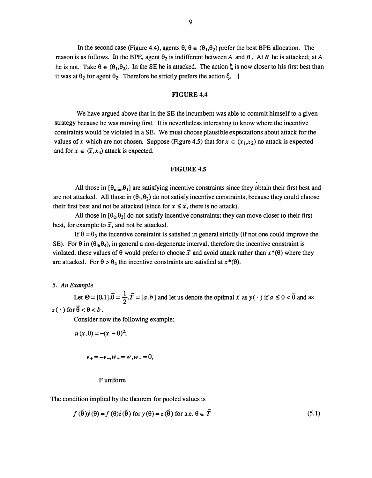In the second case (Figure 4.4), agents  $\theta$ ,  $\theta \in (\theta_1, \theta_2)$  prefer the best BPE allocation. The reason is as follows. In the BPE, agent  $\theta_2$  is indifferent between A and B. At B he is attacked; at A he is not. Take  $\theta \in (\theta_1, \theta_2)$ . In the SE he is attacked. The action  $\xi$  is now closer to his first best than it was at  $\theta_2$  for agent  $\theta_2$ . Therefore he strictly prefers the action  $\xi$ . ||

#### FIGURE 4.4

We have argued above that in the SE the incumbent was able to commit himself to a given strategy because he was moving first. It is nevertheless interesting to know where the incentive constraints would be violated in a SE. We must choose plausible expectations about attack for the values of x which are not chosen. Suppose (Figure 4.5) that for  $x \in (x_1, x_2)$  no attack is expected and for  $x \in (\overline{x}, x_3)$  attack is expected.

#### **FIGURE 4.5**

All those in  $[\theta_{min}, \theta_1]$  are satisfying incentive constraints since they obtain their first best and are not attacked. All those in  $(\theta_1,\theta_2)$  do not satisfy incentive constraints, because they could choose their first best and not be attacked (since for  $x \leq \overline{x}$ , there is no attack).

All those in  $[\theta_2,\theta_3]$  do not satisfy incentive constraints; they can move closer to their first best, for example to  $\bar{x}$ , and not be attacked.

If  $\theta = \theta_3$  the incentive constraint is satisfied in general strictly (if not one could improve the SE). For  $\theta$  in ( $\theta_3$ ,  $\theta_4$ ), in general a non-degenerate interval, therefore the incentive constraint is violated; these values of  $\theta$  would prefer to choose  $\bar{x}$  and avoid attack rather than  $x^*(\theta)$  where they are attacked. For  $\theta > \theta_4$  the incentive constraints are satisfied at  $x^*(\theta)$ .

#### 5. An Example

Let  $\Theta = [0,1], \overline{\theta} = \frac{1}{2}, \overline{T} = [a, b]$  and let us denote the optimal  $\overline{x}$  as  $y(\cdot)$  if  $a \le \theta < \overline{\theta}$  and as  $z(\cdot)$  for  $\overline{\theta} < \theta < b$ .

Consider now the following example:

$$
u(x,\theta) = -(x-\theta)^2;
$$

$$
\nu_{+}=-\nu_{-},\nu_{+}=\nu_{-},\nu_{-}=0,
$$

#### F uniform

The condition implied by the theorem for pooled values is

$$
f(\tilde{\theta})\dot{y}(\theta) = f(\theta)\dot{z}(\tilde{\theta}) \text{ for } y(\theta) = z(\tilde{\theta}) \text{ for a.e. } \theta \in \overline{T}
$$
 (5.1)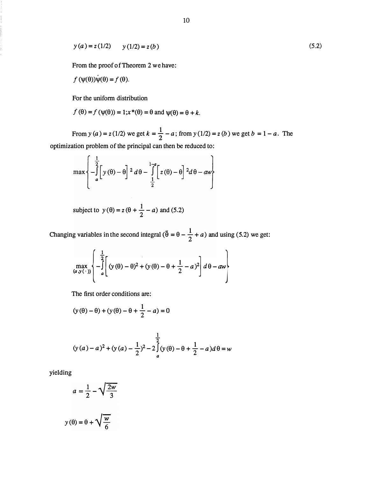$$
y(a) = z(1/2)
$$
  $y(1/2) = z(b)$  (5.2)

From the proof of Theorem 2 we have:

$$
f(\psi(\theta))\psi(\theta) = f(\theta).
$$

For the uniform distribution

$$
f(\theta) = f(\psi(\theta)) = 1; x^*(\theta) = \theta
$$
 and  $\psi(\theta) = \theta + k$ .

From  $y(a) = z(1/2)$  we get  $k = \frac{1}{2} - a$ ; from  $y(1/2) = z(b)$  we get  $b = 1 - a$ . The optimization problem of the principal can then be reduced to:

$$
\max \left\{ -\int\limits_{a}^{\frac{1}{2}} \left[ y(\theta) - \theta \right]^{2} d\theta - \int\limits_{\frac{1}{2}}^{1-a} \left[ z(\theta) - \theta \right]^{2} d\theta - aw \right\}
$$

subject to  $y(\theta) = z(\theta + \frac{1}{2} - a)$  and (5.2)

Changing variables in the second integral  $(\tilde{\theta} = \theta - \frac{1}{2} + a)$  and using (5.2) we get:

$$
\max_{(a,y(\cdot))} \left\{ -\int_{a}^{\frac{1}{2}} \left[ (y(\theta) - \theta)^2 + (y(\theta) - \theta + \frac{1}{2} - a)^2 \right] d\theta - aw \right\}
$$

The first order conditions are:

$$
(y(\theta) - \theta) + (y(\theta) - \theta + \frac{1}{2} - a) = 0
$$

$$
(y(a) - a)^2 + (y(a) - \frac{1}{2})^2 - 2\int_a^{\frac{1}{2}} (y(\theta) - \theta + \frac{1}{2} - a)d\theta = w
$$

yielding

$$
a = \frac{1}{2} - \sqrt{\frac{2w}{3}}
$$

$$
y(\theta) = \theta + \sqrt{\frac{w}{6}}
$$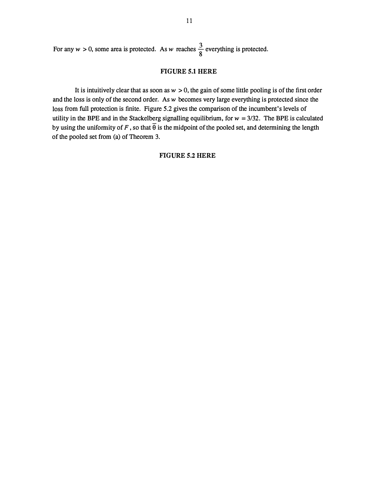For any  $w > 0$ , some area is protected. As w reaches  $\frac{3}{8}$  everything is protected.

#### FIGURE 5.1 HERE

It is intuitively clear that as soon as  $w > 0$ , the gain of some little pooling is of the first order and the loss is only of the second order. As  $w$  becomes very large everything is protected since the loss from full protection is finite. Figure 5.2 gives the comparison of the incumbent's levels of utility in the BPE and in the Stackelberg signalling equilibrium, for  $w = 3/32$ . The BPE is calculated by using the uniformity of F, so that  $\overline{\theta}$  is the midpoint of the pooled set, and determining the length of the pooled set from (a) of Theorem 3.

#### FIGURE 5.2 HERE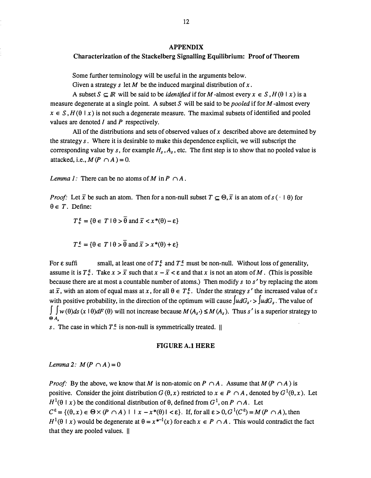#### APPENDIX

#### Characterization of the Stackelberg Signalling Equilibrium: Proof of Theorem

Some further terminology will be useful in the arguments below.

Given a strategy s let M be the induced marginal distribution of  $x$ .

A subset  $S \subseteq \mathbb{R}$  will be said to be *identified* if for M-almost every  $x \in S$ ,  $H(\theta | x)$  is a measure degenerate at a single point. A subset S will be said to be *pooled* if for  $M$ -almost every  $x \in S$ ,  $H(\theta | x)$  is not such a degenerate measure. The maximal subsets of identified and pooled values are denoted  $I$  and  $P$  respectively.

All of the distributions and sets of observed values of x described above are determined by the strategy  $s$ . Where it is desirable to make this dependence explicit, we will subscript the corresponding value by s, for example  $H_s$ ,  $A_s$ , etc. The first step is to show that no pooled value is attacked, i.e.,  $M(P \cap A) = 0$ .

Lemma 1: There can be no atoms of M in  $P \cap A$ .

*Proof:* Let  $\bar{x}$  be such an atom. Then for a non-null subset  $T \subseteq \Theta$ ,  $\bar{x}$  is an atom of  $s (\cdot | \theta)$  for  $\theta \in T$ . Define:

$$
T^{\varepsilon}_{+} = \{ \theta \in T \mid \theta > \theta \text{ and } \overline{x} < x^*(\theta) - \varepsilon \}
$$

$$
T^{\varepsilon} = \{ \theta \in T \mid \theta > \overline{\theta} \text{ and } \overline{x} > x^*(\theta) + \varepsilon \}
$$

For  $\varepsilon$  suffi small, at least one of  $T^{\varepsilon}$  and  $T^{\varepsilon}$  must be non-null. Without loss of generality, assume it is  $T^{\xi}$ . Take  $x > \overline{x}$  such that  $x - \overline{x} < \varepsilon$  and that x is not an atom of M. (This is possible because there are at most a countable number of atoms.) Then modify s to  $s'$  by replacing the atom at  $\bar{x}$ , with an atom of equal mass at x, for all  $\theta \in T^{\epsilon}_{+}$ . Under the strategy s' the increased value of x with positive probability, in the direction of the optimum will cause  $\int u dG_s$ . The value of  $\int \int w(\theta)ds$   $(x \mid \theta)dF(\theta)$  will not increase because  $M(A_s) \leq M(A_s)$ . Thus s' is a superior strategy to  $\Theta$  A,

s. The case in which  $T_{-}^{\epsilon}$  is non-null is symmetrically treated.  $\parallel$ 

#### FIG URE A.1 HERE

Lemma 2:  $M(P \cap A) = 0$ 

*Proof:* By the above, we know that M is non-atomic on  $P \cap A$ . Assume that  $M(P \cap A)$  is positive. Consider the joint distribution  $G(\theta, x)$  restricted to  $x \in P \cap A$ , denoted by  $G^1(\theta, x)$ . Let  $H^1(\theta \mid x)$  be the conditional distribution of  $\theta$ , defined from  $G^1$ , on  $P \cap A$ . Let  $C^{\varepsilon} = \{(\theta, x) \in \Theta \times (P \cap A) \mid |x - x^*(\theta)| < \varepsilon\}.$  If, for all  $\varepsilon > 0, G^1(C^{\varepsilon}) = M(P \cap A)$ , then  $H^1(\theta | x)$  would be degenerate at  $\theta = x^{*-1}(x)$  for each  $x \in P \cap A$ . This would contradict the fact that they are pooled values. II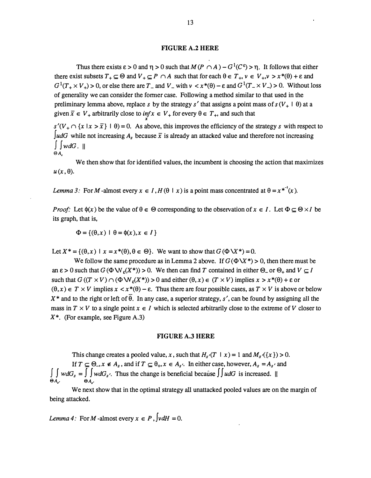#### FIGURE A.2 HERE

Thus there exists  $\varepsilon > 0$  and  $\eta > 0$  such that  $M(P \cap A) - G^1(C^{\varepsilon}) > \eta$ . It follows that either there exist subsets  $T_+ \subseteq \Theta$  and  $V_+ \subseteq P \cap A$  such that for each  $\theta \in T_+$ ,  $v \in V_+$ ,  $v > x^*(\theta) + \varepsilon$  and  $G^1(T_+ \times V_+) > 0$ , or else there are  $T_-$  and  $V_-$  with  $v < x^*(\theta) - \varepsilon$  and  $G^1(T_- \times V_-) > 0$ . Without loss of generality we can consider the former case. Following a method similar to that used in the preliminary lemma above, replace s by the strategy s' that assigns a point mass of  $s(V_+ \mid \theta)$  at a given  $\bar{x} \in V_+$  arbitrarily close to  $\inf_{x} x \in V_+$  for every  $\theta \in T_+$ , and such that

 $s'(V_+ \cap \{x \mid x > \overline{x}\} \mid \theta) = 0$ . As above, this improves the efficiency of the strategy s with respect to JudG while not increasing  $A_s$  because  $\bar{x}$  is already an attacked value and therefore not increasing  $\int w dG.$  $\Theta A$ 

We then show that for identified values, the incumbent is choosing the action that maximizes  $u(x, \theta)$ .

Lemma 3: For M-almost every  $x \in I$ ,  $H(\theta | x)$  is a point mass concentrated at  $\theta = x^{*^{-1}}(x)$ .

*Proof*: Let  $\phi(x)$  be the value of  $\theta \in \Theta$  corresponding to the observation of  $x \in I$ . Let  $\Phi \subseteq \Theta \times I$  be its graph, that is,

 $\Phi = \{(\theta, x) \mid \theta = \phi(x), x \in I\}$ 

Let  $X^* = \{(\theta, x) \mid x = x^*(\theta), \theta \in \Theta\}$ . We want to show that  $G(\Phi \backslash X^*) = 0$ .

We follow the same procedure as in Lemma 2 above. If  $G(\Phi \ X^*) > 0$ , then there must be an  $\epsilon > 0$  such that  $G(\Phi W_{\epsilon}(X^*)) > 0$ . We then can find T contained in either  $\Theta_{-}$  or  $\Theta_{+}$  and  $V \subseteq I$ such that  $G((T \times V) \cap (\Phi \mathbf{W}_{\epsilon}(X^*)) > 0$  and either  $(\theta, x) \in (T \times V)$  implies  $x > x^*(\theta) + \epsilon$  or  $(\theta, x) \in T \times V$  implies  $x < x^*(\theta) - \varepsilon$ . Thus there are four possible cases, as  $T \times V$  is above or below  $X^*$  and to the right or left of  $\overline{\theta}$ . In any case, a superior strategy, s', can be found by assigning all the mass in  $T \times V$  to a single point  $x \in I$  which is selected arbitrarily close to the extreme of V closer to  $X^*$ . (For example, see Figure A.3)

#### FIGURE A.3 HERE

This change creates a pooled value, x, such that  $H_s(T \mid x) = 1$  and  $M_s(\lbrace x \rbrace) > 0$ . If  $T \subseteq \Theta_{-}, x \notin A_s$ , and if  $T \subseteq \Theta_{+}, x \in A_{s'}$ . In either case, however,  $A_s = A_{s'}$  and  $\int \int w dG_s = \int w dG_s$ . Thus the change is beneficial because  $\int \int u dG$  is increased. ||  $\Theta A_{\nu}$ ,  $\Theta A_{\nu}$ 

We next show that in the optimal strategy all unattacked pooled values are on the margin of being attacked.

Lemma 4: For M-almost every  $x \in P$ ,  $\int v dH = 0$ .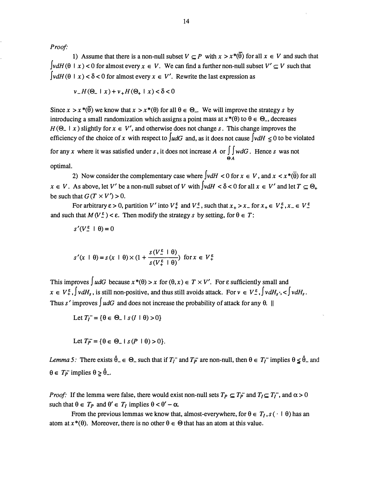Proof:

1) Assume that there is a non-null subset  $V \subset P$  with  $x > x^{*}(\overline{\theta})$  for all  $x \in V$  and such that  $\left[\nu dH(\theta \mid x) \le 0\right]$  for almost every  $x \in V$ . We can find a further non-null subset  $V' \subset V$  such that  $\int v dH(\theta \mid x) < \delta < 0$  for almost every  $x \in V'$ . Rewrite the last expression as

$$
\nu_-H(\Theta_- \mid x) + \nu_+H(\Theta_+ \mid x) < \delta < 0
$$

Since  $x > x^*(\overline{\theta})$  we know that  $x > x^*(\theta)$  for all  $\theta \in \Theta$ . We will improve the strategy s by introducing a small randomization which assigns a point mass at  $x^*(\theta)$  to  $\theta \in \Theta$ , decreases  $H(\Theta_- | x)$  slightly for  $x \in V'$ , and otherwise does not change s. This change improves the efficiency of the choice of x with respect to  $\int u dG$  and, as it does not cause  $\int v dH \le 0$  to be violated for any x where it was satisfied under s, it does not increase A or  $\int \int w dG$ . Hence s was not 0A

optimal.

2) Now consider the complementary case where  $\left[v\right]dH < 0$  for  $x \in V$ , and  $x < x^*(\overline{\theta})$  for all  $x \in V$ . As above, let V' be a non-null subset of V with  $\int v dH < \delta < 0$  for all  $x \in V'$  and let  $T \subseteq \Theta_+$ be such that  $G(T \times V') > 0$ .

For arbitrary  $\varepsilon > 0$ , partition V' into  $V_+^{\varepsilon}$  and  $V_-^{\varepsilon}$ , such that  $x_+ > x_-$  for  $x_+ \in V_+^{\varepsilon}$ ,  $x_- \in V_-^{\varepsilon}$ and such that  $M(V_{-}^{\epsilon}) < \epsilon$ . Then modify the strategy s by setting, for  $\theta \in T$ :

$$
s'(V^{\varepsilon} \perp \theta) = 0
$$

$$
s'(x \mid \theta) = s(x \mid \theta) \times (1 + \frac{s(V_{-}^{\epsilon} \mid \theta)}{s(V_{+}^{\epsilon} \mid \theta)}) \text{ for } x \in V_{+}^{\epsilon}
$$

This improves  $\int u dG$  because  $x^*(\theta) > x$  for  $(\theta, x) \in T \times V'$ . For  $\varepsilon$  sufficiently small and  $x \in V^{\varepsilon}_+$ ,  $\int v dH_s$ , is still non-positive, and thus still avoids attack. For  $v \in V^{\varepsilon}_-$ ,  $\int v dH_s$ ,  $\leq \int v dH_s$ . Thus s' improves  $\int u dG$  and does not increase the probability of attack for any  $\theta$ . ||

Let 
$$
T_I^- = \{ \theta \in \Theta_- \mid s(I \mid \theta) > 0 \}
$$

Let 
$$
T_P^- = \{\theta \in \Theta_- \mid s(P \mid \theta) > 0\}.
$$

Lemma 5: There exists  $\hat{\theta}_- \in \Theta_-$  such that if  $T_I^-$  and  $T_P^-$  are non-null, then  $\theta \in T_I^-$  implies  $\theta \leq \hat{\theta}_-$  and  $\theta \in T_P^-$  implies  $\theta \geq \hat{\theta}_-$ .

*Proof*: If the lemma were false, there would exist non-null sets  $T_P \subseteq T_P^-$  and  $T_I \subseteq T_I^-$ , and  $\alpha > 0$ such that  $\theta \in T_P$  and  $\theta' \in T_I$  implies  $\theta < \theta' - \alpha$ .

From the previous lemmas we know that, almost-everywhere, for  $\theta \in T_I$ ,  $s \cdot |\theta|$  has an atom at  $x^*(\theta)$ . Moreover, there is no other  $\theta \in \Theta$  that has an atom at this value.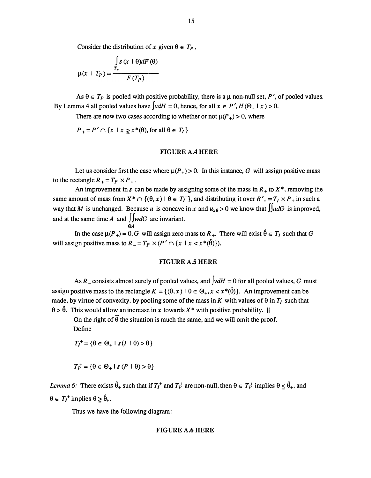Consider the distribution of x given  $\theta \in T_p$ ,

$$
\mu(x + T_P) = \frac{\int_{T_P} s(x + \theta)dF(\theta)}{F(T_P)}
$$

As  $\theta \in T_P$  is pooled with positive probability, there is a  $\mu$  non-null set, P', of pooled values. By Lemma 4 all pooled values have  $\int v dH = 0$ , hence, for all  $x \in P'$ ,  $H(\Theta_+ | x) > 0$ .

There are now two cases according to whether or not  $\mu(P_+) > 0$ , where

 $P_+ = P' \cap \{x \mid x \geq x^*(\theta), \text{ for all } \theta \in T_I\}$ 

0A

#### FIGURE A.4 HERE

Let us consider first the case where  $\mu(P_+) > 0$ . In this instance, G will assign positive mass to the rectangle  $R_+ = T_P \times P_+$ .

An improvement in s can be made by assigning some of the mass in  $R_+$  to  $X^*$ , removing the same amount of mass from  $X^* \cap \{(\theta, x) \mid \theta \in T_I^-\}$ , and distributing it over  $R'_{+} = T_I \times P_{+}$  in such a way that M is unchanged. Because u is concave in x and  $u_{x\theta} > 0$  we know that  $\iint u dG$  is improved, and at the same time A and  $\int w dG$  are invariant.

In the case  $\mu(P_+) = 0$ , G will assign zero mass to  $R_+$ . There will exist  $\hat{\theta} \in T_I$  such that G will assign positive mass to  $R = T_p \times (P' \cap \{x \mid x < x^*(\hat{\theta})\}).$ 

#### FIGURE A.S HERE

As R<sub>-consists</sub> almost surely of pooled values, and  $\int v dH = 0$  for all pooled values, G must assign positive mass to the rectangle  $K = \{(\theta, x) \mid \theta \in \Theta_+, x < x^*(\hat{\theta})\}$ . An improvement can be made, by virtue of convexity, by pooling some of the mass in K with values of  $\theta$  in  $T_1$  such that  $\theta > \hat{\theta}$ . This would allow an increase in x towards X<sup>\*</sup> with positive probability. ||

On the right of  $\overline{\theta}$  the situation is much the same, and we will omit the proof. Define

 $T_I^+ = \{ \theta \in \Theta_+ \mid s(I \mid \theta) > \theta \}$ 

$$
T_P^+ = \{ \theta \in \Theta_+ \mid s(P \mid \theta) > \theta \}
$$

Lemma 6: There exists  $\hat{\theta}_+$  such that if  $T_I^+$  and  $T_P^+$  are non-null, then  $\theta \in T_P^+$  implies  $\theta \leq \hat{\theta}_+$ , and  $\theta \in T_I^+$  implies  $\theta \geq \hat{\theta}_+$ .

Thus we have the following diagram:

#### FIGURE A.6 HERE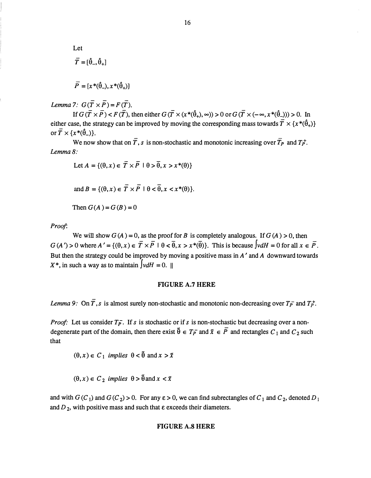Let  
\n
$$
\overline{T} = [\hat{\theta}_-, \hat{\theta}_+]
$$
\n
$$
\overline{P} = [x^*(\hat{\theta}_-), x^*(\hat{\theta}_+)]
$$

Lemma 7:  $G(\overline{T} \times \overline{P}) = F(\overline{T}).$ 

If  $G(\overline{T} \times \overline{P}) < F(\overline{T})$ , then either  $G(\overline{T} \times (x^*(\hat{\theta}_+), \infty)) > 0$  or  $G(\overline{T} \times (-\infty, x^*(\hat{\theta}_-))) > 0$ . In either case, the strategy can be improved by moving the corresponding mass towards  $\overline{T} \times \{x^*(\hat{\theta}_+) \}$ or  $\overline{T} \times \{x^*(\hat{\theta}_-) \}.$ 

We now show that on  $\overline{T}$ , s is non-stochastic and monotonic increasing over  $\overline{T}_P$  and  $T_P^+$ . Lemma 8:

Let 
$$
A = \{(\theta, x) \in \overline{T} \times \overline{P} \mid \theta > \overline{\theta}, x > x^*(\theta)\}\)
$$

and 
$$
B = \{(\theta, x) \in \overline{T} \times \overline{P} \mid \theta < \overline{\theta}, x < x^*(\theta)\}.
$$

Then  $G(A) = G(B) = 0$ 

Proof.

We will show  $G(A) = 0$ , as the proof for B is completely analogous. If  $G(A) > 0$ , then  $G(A') > 0$  where  $A' = \{(\theta, x) \in \overline{T} \times \overline{P} \mid \theta < \overline{\theta}, x > x^*(\overline{\theta})\}$ . This is because  $\int v dH = 0$  for all  $x \in \overline{P}$ . But then the strategy could be improved by moving a positive mass in  $A'$  and  $A$  downward towards  $X^*$ , in such a way as to maintain  $\int v dH = 0$ . ||

#### FIGURE A.7 HERE

Lemma 9: On  $\overline{T}$ , s is almost surely non-stochastic and monotonic non-decreasing over  $T_{\overline{P}}$  and  $T_{\overline{P}}$ .

*Proof*: Let us consider  $T_{\overline{P}}$ . If s is stochastic or if s is non-stochastic but decreasing over a nondegenerate part of the domain, then there exist  $\tilde{\theta} \in T_P^-$  and  $\tilde{x} \in P$  and rectangles  $C_1$  and  $C_2$  such that

 $(\theta, x) \in C_1$  implies  $\theta < \tilde{\theta}$  and  $x > \tilde{x}$ 

$$
(\theta, x) \in C_2
$$
 implies  $\theta > \tilde{\theta}$  and  $x < \tilde{x}$ 

and with  $G(C_1)$  and  $G(C_2) > 0$ . For any  $\varepsilon > 0$ , we can find subrectangles of  $C_1$  and  $C_2$ , denoted  $D_1$ and  $D_2$ , with positive mass and such that  $\varepsilon$  exceeds their diameters.

#### FIGURE A.8 HERE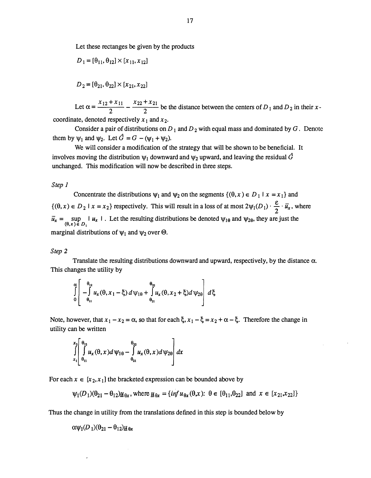Let these rectanges be given by the products

$$
D_1 = [\theta_{11}, \theta_{12}] \times [x_{11}, x_{12}]
$$

$$
D_2 = [\theta_{21}, \theta_{22}] \times [x_{21}, x_{22}]
$$

 $x_{12} + x_{11}$   $x_{22} + x_{21}$ Let  $\alpha = \frac{12}{2}$  -  $\frac{22}{2}$  be the distance between the centers of D<sub>1</sub> and D<sub>2</sub> in their xcoordinate, denoted respectively  $x_1$  and  $x_2$ .

Consider a pair of distributions on  $D_1$  and  $D_2$  with equal mass and dominated by G. Denote them by  $\psi_1$  and  $\psi_2$ . Let  $\hat{G} = G - (\psi_1 + \psi_2)$ .

We will consider a modification of the strategy that will be shown to be beneficial. It involves moving the distribution  $\psi_1$  downward and  $\psi_2$  upward, and leaving the residual  $\hat{G}$ unchanged. This modification will now be described in three steps.

#### Step 1

Concentrate the distributions  $\psi_1$  and  $\psi_2$  on the segments  $\{(\theta, x) \in D_1 \mid x = x_1\}$  and  $\{(\theta, x) \in D_2 \mid x = x_2\}$  respectively. This will result in a loss of at most  $2\psi_1(D_1) \cdot \frac{\varepsilon}{2} \cdot \overline{u}_x$ , where  $\overline{u}_x = \sup_{(\theta, x) \in D_1} |u_x|$ . Let the resulting distributions be denoted  $\psi_{1\theta}$  and  $\psi_{2\theta}$ , they are just the marginal distributions of  $\psi_1$  and  $\psi_2$  over  $\Theta$ .

#### Step<sub>2</sub>

Translate the resulting distributions downward and upward, respectively, by the distance  $\alpha$ . This changes the utility by

$$
\int_{0}^{\alpha} \left[ - \int_{\theta_{11}}^{\theta_{12}} u_x(\theta, x_1 - \xi) d\psi_{1\theta} + \int_{\theta_{21}}^{\theta_{22}} u_x(\theta, x_2 + \xi) d\psi_{2\theta} \right] d\xi
$$

Note, however, that  $x_1 - x_2 = \alpha$ , so that for each  $\xi$ ,  $x_1 - \xi = x_2 + \alpha - \xi$ . Therefore the change in utility can be written

$$
\int_{x_1}^{x_2} \int_{\theta_{11}}^{\theta_{12}} u_x(\theta, x) d\psi_{1\theta} - \int_{\theta_{21}}^{\theta_{22}} u_x(\theta, x) d\psi_{2\theta} dx
$$

For each  $x \in [x_2, x_1]$  the bracketed expression can be bounded above by

$$
\psi_1(D_1)(\theta_{21}-\theta_{12})\underline{u}_{\theta x}
$$
, where  $\underline{u}_{\theta x} = \{\inf u_{\theta x}(\theta, x): \theta \in [\theta_{11}, \theta_{22}] \text{ and } x \in [x_{21}, x_{22}]\}$ 

Thus the change in utility from the translations defined in this step is bounded below by

$$
\alpha \psi_1(D_1)(\theta_{21} - \theta_{12})\underline{u}_{\theta x}
$$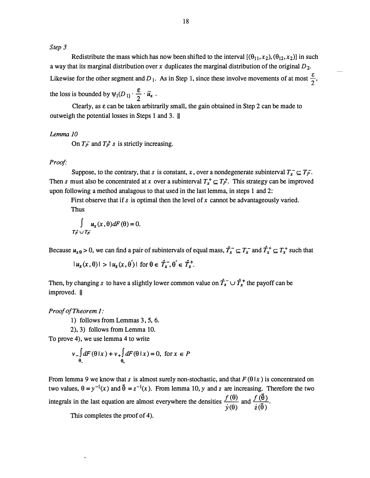Step 3

Redistribute the mass which has now been shifted to the interval  $[(\theta_{11}, x_2), (\theta_{12}, x_2)]$  in such a way that its marginal distribution over x duplicates the marginal distribution of the original  $D_2$ . Likewise for the other segment and D<sub>1</sub>. As in Step 1, since these involve movements of at most  $\frac{\varepsilon}{2}$ , the loss is bounded by  $\psi_1(D_1) \cdot \frac{\varepsilon}{2} \cdot \overline{u}_x$ .

Clearly, as  $\varepsilon$  can be taken arbitrarily small, the gain obtained in Step 2 can be made to outweigh the potential losses in Steps 1 and 3. II

#### Lemma JO

On  $T_p^-$  and  $T_p^+$  s is strictly increasing.

#### Proof·

Suppose, to the contrary, that s is constant, x, over a nondegenerate subinterval  $T_x \subseteq T_{\overline{P}}$ . Then s must also be concentrated at x over a subinterval  $T_x^+ \subseteq T_p^+$ . This strategy can be improved upon following a method analagous to that used in the last lemma, in steps 1 and 2:

First observe that if s is optimal then the level of x cannot be advantageously varied.

Thus

$$
\int_{T_P^+} u_x(x,\theta)dF(\theta) = 0.
$$

Because  $u_{x\theta} > 0$ , we can find a pair of subintervals of equal mass,  $\hat{T}_x^- \subseteq T_x^-$  and  $\hat{T}_x^+ \subseteq T_x^+$  such that

$$
|u_x(x,\theta)| > |u_x(x,\theta')| \text{ for } \theta \in \hat{T}_x, \theta' \in \hat{T}_x^+.
$$

Then, by changing s to have a slightly lower common value on  $\hat{T}_x^-\cup \hat{T}_x^+$  the payoff can be improved. II

Proof of Theorem 1:

1) follows from Lemmas 3, 5, 6.

2), 3) follows from Lemma 10.

To prove 4), we use lemma 4 to write

$$
v \int_{\theta_-} dF(\theta \mid x) + v_+ \int_{\theta_+} dF(\theta \mid x) = 0, \text{ for } x \in P
$$

From lemma 9 we know that s is almost surely non-stochastic, and that  $F(\theta|x)$  is concentrated on two values,  $\theta = y^{-1}(x)$  and  $\tilde{\theta} = z^{-1}(x)$ . From lemma 10, y and z are increasing. Therefore the two integrals in the last equation are almost everywhere the densities  $\frac{f(\theta)}{\dot{y}(\theta)}$  and  $\frac{f(\bar{\theta})}{\dot{z}(\bar{\theta})}$ .

This completes the proof of 4).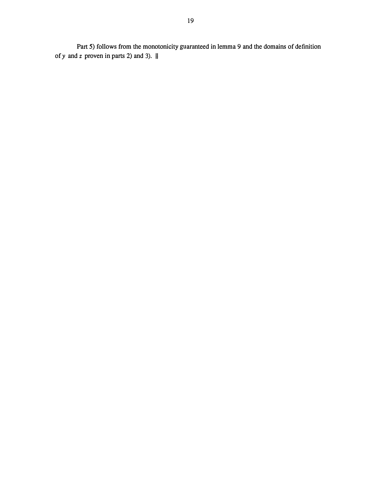Part 5) follows from the monotonicity guaranteed in lemma 9 and the domains of definition of y and z proven in parts 2) and 3).  $\parallel$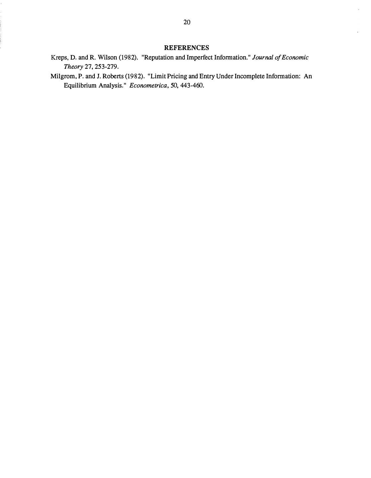#### REFERENCES

- Kreps, D. and R. Wilson (1982). "Reputation and Imperfect Information." Journal of Economic Theory 27, 253-279.
- Milgrom, P. and J. Roberts (1982). "Limit Pricing and Entry Under Incomplete Information: An Equilibrium Analysis." Econometrica, 50, 443 -460.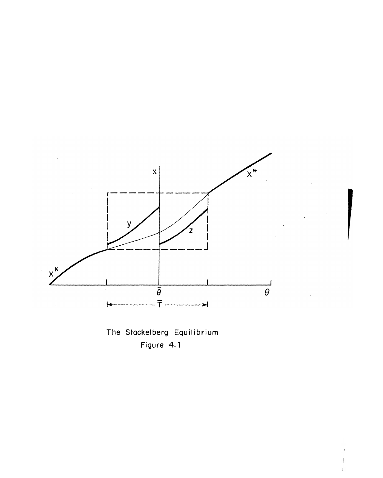

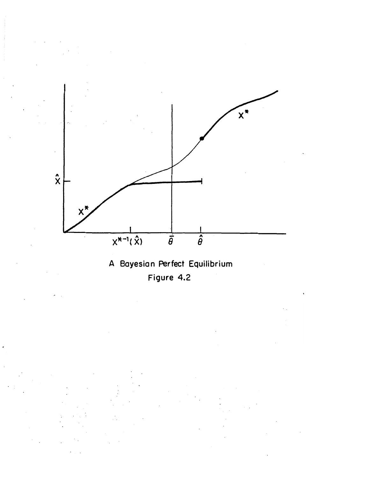

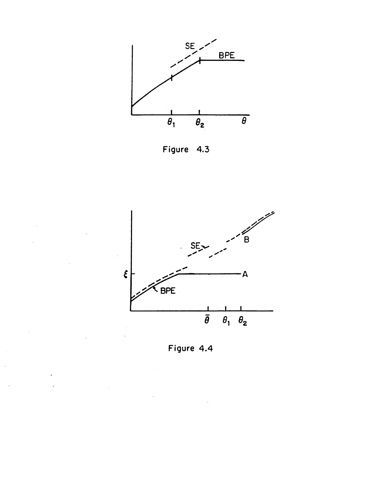

Figure 4.3



Figure 4.4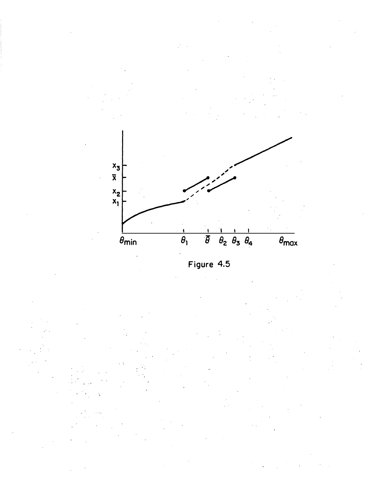

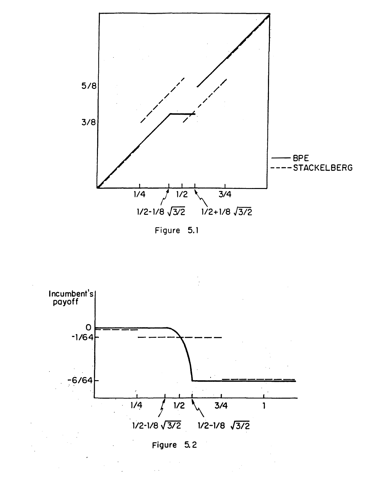

Figure 5.1

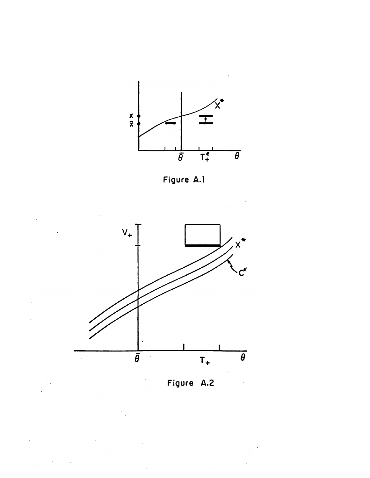





Figure A.2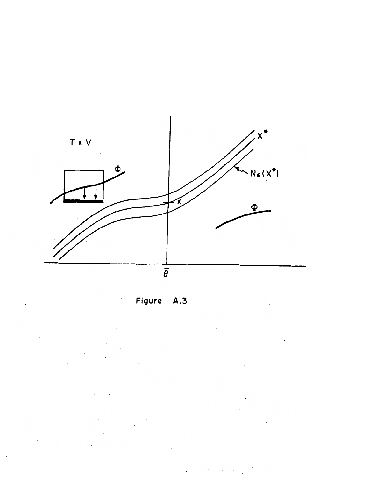

Figure A.3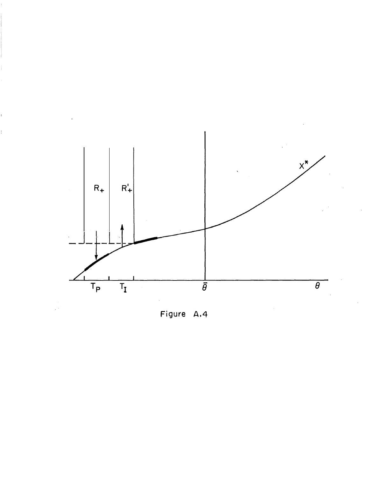

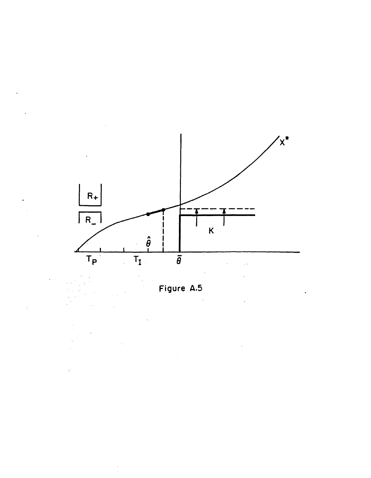

Figure A.5

 $\ddot{\cdot}$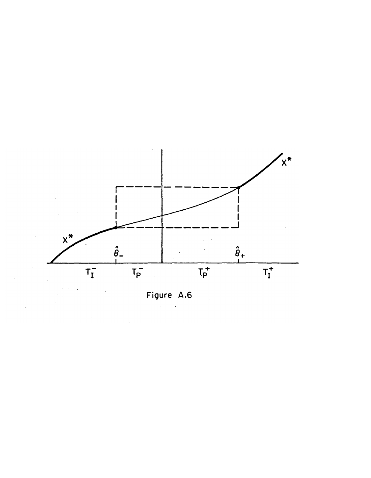

Figure A.6